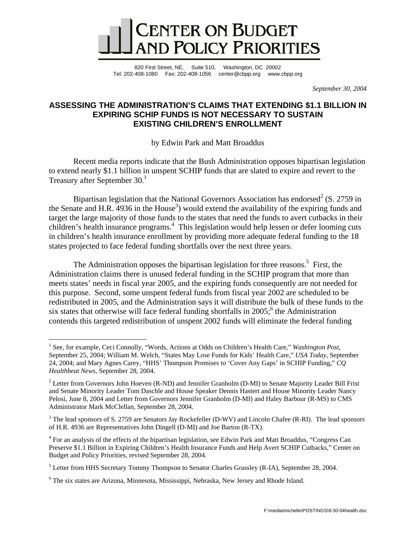

820 First Street, NE, Suite 510, Washington, DC 20002 Tel: 202-408-1080 Fax: 202-408-1056 center@cbpp.org www.cbpp.org

*September 30, 2004* 

# **ASSESSING THE ADMINISTRATION'S CLAIMS THAT EXTENDING \$1.1 BILLION IN EXPIRING SCHIP FUNDS IS NOT NECESSARY TO SUSTAIN EXISTING CHILDREN'S ENROLLMENT**

by Edwin Park and Matt Broaddus

Recent media reports indicate that the Bush Administration opposes bipartisan legislation to extend nearly \$1.1 billion in unspent SCHIP funds that are slated to expire and revert to the Treasury after September 30.<sup>1</sup>

Bipartisan legislation that the National Governors Association has endorsed<sup>2</sup> (S. 2759 in the Senate and H.R. 4936 in the House<sup>3</sup>) would extend the availability of the expiring funds and target the large majority of those funds to the states that need the funds to avert cutbacks in their children's health insurance programs.<sup>4</sup> This legislation would help lessen or defer looming cuts in children's health insurance enrollment by providing more adequate federal funding to the 18 states projected to face federal funding shortfalls over the next three years.

The Administration opposes the bipartisan legislation for three reasons.<sup>5</sup> First, the Administration claims there is unused federal funding in the SCHIP program that more than meets states' needs in fiscal year 2005, and the expiring funds consequently are not needed for this purpose. Second, some unspent federal funds from fiscal year 2002 are scheduled to be redistributed in 2005, and the Administration says it will distribute the bulk of these funds to the six states that otherwise will face federal funding shortfalls in  $2005$ ; the Administration contends this targeted redistribution of unspent 2002 funds will eliminate the federal funding

 $\overline{a}$ 

<sup>&</sup>lt;sup>1</sup> See, for example, Ceci Connolly, "Words, Actions at Odds on Children's Health Care," *Washington Post*, September 25, 2004; William M. Welch, "States May Lose Funds for Kids' Health Care," *USA Today*, September 24, 2004; and Mary Agnes Carey, "HHS' Thompson Promises to 'Cover Any Gaps' in SCHIP Funding," *CQ Healthbeat News*, September 28, 2004.

<sup>&</sup>lt;sup>2</sup> Letter from Governors John Hoeven (R-ND) and Jennifer Granholm (D-MI) to Senate Majority Leader Bill Frist and Senate Minority Leader Tom Daschle and House Speaker Dennis Hastert and House Minority Leader Nancy Pelosi, June 8, 2004 and Letter from Governors Jennifer Granholm (D-MI) and Haley Barbour (R-MS) to CMS Administrator Mark McClellan, September 28, 2004.

 $3$  The lead sponsors of S. 2759 are Senators Jay Rockefeller (D-WV) and Lincoln Chafee (R-RI). The lead sponsors of H.R. 4936 are Representatives John Dingell (D-MI) and Joe Barton (R-TX).

<sup>&</sup>lt;sup>4</sup> For an analysis of the effects of the bipartisan legislation, see Edwin Park and Matt Broaddus, "Congress Can Preserve \$1.1 Billion in Expiring Children's Health Insurance Funds and Help Avert SCHIP Cutbacks," Center on Budget and Policy Priorities, revised September 28, 2004.

 $<sup>5</sup>$  Letter from HHS Secretary Tommy Thompson to Senator Charles Grassley (R-IA), September 28, 2004.</sup>

<sup>&</sup>lt;sup>6</sup> The six states are Arizona, Minnesota, Mississippi, Nebraska, New Jersey and Rhode Island.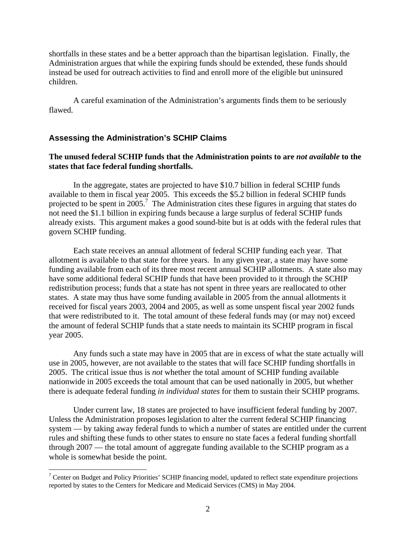shortfalls in these states and be a better approach than the bipartisan legislation. Finally, the Administration argues that while the expiring funds should be extended, these funds should instead be used for outreach activities to find and enroll more of the eligible but uninsured children.

A careful examination of the Administration's arguments finds them to be seriously flawed.

### **Assessing the Administration's SCHIP Claims**

 $\overline{a}$ 

## **The unused federal SCHIP funds that the Administration points to are** *not available* **to the states that face federal funding shortfalls.**

In the aggregate, states are projected to have \$10.7 billion in federal SCHIP funds available to them in fiscal year 2005. This exceeds the \$5.2 billion in federal SCHIP funds projected to be spent in 2005.<sup>7</sup> The Administration cites these figures in arguing that states do not need the \$1.1 billion in expiring funds because a large surplus of federal SCHIP funds already exists. This argument makes a good sound-bite but is at odds with the federal rules that govern SCHIP funding.

Each state receives an annual allotment of federal SCHIP funding each year. That allotment is available to that state for three years. In any given year, a state may have some funding available from each of its three most recent annual SCHIP allotments. A state also may have some additional federal SCHIP funds that have been provided to it through the SCHIP redistribution process; funds that a state has not spent in three years are reallocated to other states. A state may thus have some funding available in 2005 from the annual allotments it received for fiscal years 2003, 2004 and 2005, as well as some unspent fiscal year 2002 funds that were redistributed to it. The total amount of these federal funds may (or may not) exceed the amount of federal SCHIP funds that a state needs to maintain its SCHIP program in fiscal year 2005.

Any funds such a state may have in 2005 that are in excess of what the state actually will use in 2005, however, are not available to the states that will face SCHIP funding shortfalls in 2005. The critical issue thus is *not* whether the total amount of SCHIP funding available nationwide in 2005 exceeds the total amount that can be used nationally in 2005, but whether there is adequate federal funding *in individual states* for them to sustain their SCHIP programs.

Under current law, 18 states are projected to have insufficient federal funding by 2007. Unless the Administration proposes legislation to alter the current federal SCHIP financing system — by taking away federal funds to which a number of states are entitled under the current rules and shifting these funds to other states to ensure no state faces a federal funding shortfall through 2007 — the total amount of aggregate funding available to the SCHIP program as a whole is somewhat beside the point.

 $7$  Center on Budget and Policy Priorities' SCHIP financing model, updated to reflect state expenditure projections reported by states to the Centers for Medicare and Medicaid Services (CMS) in May 2004.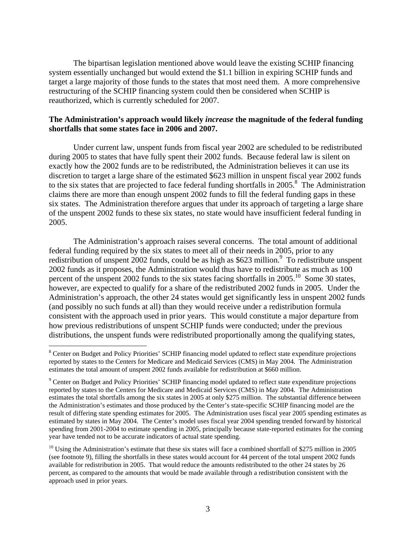The bipartisan legislation mentioned above would leave the existing SCHIP financing system essentially unchanged but would extend the \$1.1 billion in expiring SCHIP funds and target a large majority of those funds to the states that most need them. A more comprehensive restructuring of the SCHIP financing system could then be considered when SCHIP is reauthorized, which is currently scheduled for 2007.

## **The Administration's approach would likely** *increase* **the magnitude of the federal funding shortfalls that some states face in 2006 and 2007.**

Under current law, unspent funds from fiscal year 2002 are scheduled to be redistributed during 2005 to states that have fully spent their 2002 funds. Because federal law is silent on exactly how the 2002 funds are to be redistributed, the Administration believes it can use its discretion to target a large share of the estimated \$623 million in unspent fiscal year 2002 funds to the six states that are projected to face federal funding shortfalls in 2005.<sup>8</sup> The Administration claims there are more than enough unspent 2002 funds to fill the federal funding gaps in these six states. The Administration therefore argues that under its approach of targeting a large share of the unspent 2002 funds to these six states, no state would have insufficient federal funding in 2005.

The Administration's approach raises several concerns. The total amount of additional federal funding required by the six states to meet all of their needs in 2005, prior to any redistribution of unspent 2002 funds, could be as high as \$623 million.<sup>9</sup> To redistribute unspent 2002 funds as it proposes, the Administration would thus have to redistribute as much as 100 percent of the unspent 2002 funds to the six states facing shortfalls in  $2005$ .<sup>10</sup> Some 30 states, however, are expected to qualify for a share of the redistributed 2002 funds in 2005. Under the Administration's approach, the other 24 states would get significantly less in unspent 2002 funds (and possibly no such funds at all) than they would receive under a redistribution formula consistent with the approach used in prior years. This would constitute a major departure from how previous redistributions of unspent SCHIP funds were conducted; under the previous distributions, the unspent funds were redistributed proportionally among the qualifying states,

 $\overline{a}$ 

<sup>&</sup>lt;sup>8</sup> Center on Budget and Policy Priorities' SCHIP financing model updated to reflect state expenditure projections reported by states to the Centers for Medicare and Medicaid Services (CMS) in May 2004. The Administration estimates the total amount of unspent 2002 funds available for redistribution at \$660 million.

<sup>&</sup>lt;sup>9</sup> Center on Budget and Policy Priorities' SCHIP financing model updated to reflect state expenditure projections reported by states to the Centers for Medicare and Medicaid Services (CMS) in May 2004. The Administration estimates the total shortfalls among the six states in 2005 at only \$275 million. The substantial difference between the Administration's estimates and those produced by the Center's state-specific SCHIP financing model are the result of differing state spending estimates for 2005. The Administration uses fiscal year 2005 spending estimates as estimated by states in May 2004. The Center's model uses fiscal year 2004 spending trended forward by historical spending from 2001-2004 to estimate spending in 2005, principally because state-reported estimates for the coming year have tended not to be accurate indicators of actual state spending.

 $10$  Using the Administration's estimate that these six states will face a combined shortfall of \$275 million in 2005 (see footnote 9), filling the shortfalls in these states would account for 44 percent of the total unspent 2002 funds available for redistribution in 2005. That would reduce the amounts redistributed to the other 24 states by 26 percent, as compared to the amounts that would be made available through a redistribution consistent with the approach used in prior years.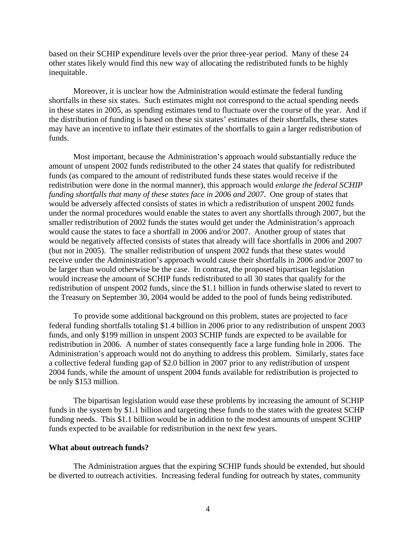based on their SCHIP expenditure levels over the prior three-year period. Many of these 24 other states likely would find this new way of allocating the redistributed funds to be highly inequitable.

Moreover, it is unclear how the Administration would estimate the federal funding shortfalls in these six states. Such estimates might not correspond to the actual spending needs in these states in 2005, as spending estimates tend to fluctuate over the course of the year. And if the distribution of funding is based on these six states' estimates of their shortfalls, these states may have an incentive to inflate their estimates of the shortfalls to gain a larger redistribution of funds.

Most important, because the Administration's approach would substantially reduce the amount of unspent 2002 funds redistributed to the other 24 states that qualify for redistributed funds (as compared to the amount of redistributed funds these states would receive if the redistribution were done in the normal manner), this approach would *enlarge the federal SCHIP funding shortfalls that many of these states face in 2006 and 2007*. One group of states that would be adversely affected consists of states in which a redistribution of unspent 2002 funds under the normal procedures would enable the states to avert any shortfalls through 2007, but the smaller redistribution of 2002 funds the states would get under the Administration's approach would cause the states to face a shortfall in 2006 and/or 2007. Another group of states that would be negatively affected consists of states that already will face shortfalls in 2006 and 2007 (but not in 2005). The smaller redistribution of unspent 2002 funds that these states would receive under the Administration's approach would cause their shortfalls in 2006 and/or 2007 to be larger than would otherwise be the case. In contrast, the proposed bipartisan legislation would increase the amount of SCHIP funds redistributed to all 30 states that qualify for the redistribution of unspent 2002 funds, since the \$1.1 billion in funds otherwise slated to revert to the Treasury on September 30, 2004 would be added to the pool of funds being redistributed.

To provide some additional background on this problem, states are projected to face federal funding shortfalls totaling \$1.4 billion in 2006 prior to any redistribution of unspent 2003 funds, and only \$199 million in unspent 2003 SCHIP funds are expected to be available for redistribution in 2006. A number of states consequently face a large funding hole in 2006. The Administration's approach would not do anything to address this problem. Similarly, states face a collective federal funding gap of \$2.0 billion in 2007 prior to any redistribution of unspent 2004 funds, while the amount of unspent 2004 funds available for redistribution is projected to be only \$153 million.

The bipartisan legislation would ease these problems by increasing the amount of SCHIP funds in the system by \$1.1 billion and targeting these funds to the states with the greatest SCHP funding needs. This \$1.1 billion would be in addition to the modest amounts of unspent SCHIP funds expected to be available for redistribution in the next few years.

#### **What about outreach funds?**

The Administration argues that the expiring SCHIP funds should be extended, but should be diverted to outreach activities. Increasing federal funding for outreach by states, community